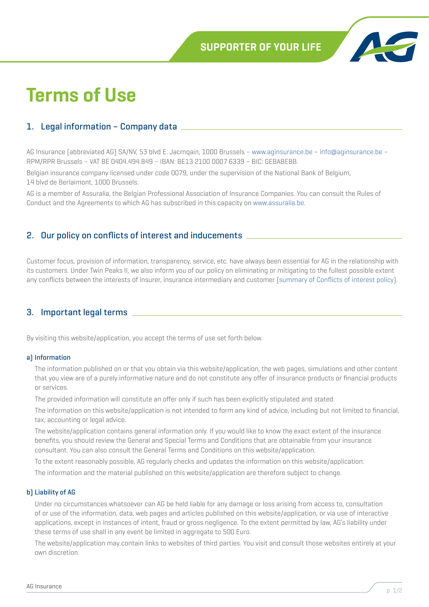

# **Terms of Use**

## 1. Legal information – Company data

AG Insurance (abbreviated AG) SA/NV, 53 blvd E. Jacmqain, 1000 Brussels – www.aginsurance.be – info@aginsurance.be – RPM/RPR Brussels – VAT BE 0404.494.849 – IBAN: BE13 2100 0007 6339 – BIC: GEBABEBB.

Belgian insurance company licensed under code 0079, under the supervision of the National Bank of Belgium, 14 blvd de Berlaimont, 1000 Brussels.

AG is a member of Assuralia, the Belgian Professional Association of Insurance Companies. You can consult the Rules of Conduct and the Agreements to which AG has subscribed in this capacity on www.assuralia.be.

### 2. Our policy on conflicts of interest and inducements

Customer focus, provision of information, transparency, service, etc. have always been essential for AG in the relationship with its customers. Under Twin Peaks II, we also inform you of our policy on eliminating or mitigating to the fullest possible extent any conflicts between the interests of insurer, insurance intermediary and customer ([summary of Conflicts of interest policy](https://ag.be/dam/transversal/cookieservice/documents/Annexe_EN_Conflict_of_Interests_Policy.pdf)).

## 3. Important legal terms

By visiting this website/application, you accept the terms of use set forth below.

#### a) Information

The information published on or that you obtain via this website/application, the web pages, simulations and other content that you view are of a purely informative nature and do not constitute any offer of insurance products or financial products or services.

The provided information will constitute an offer only if such has been explicitly stipulated and stated.

The information on this website/application is not intended to form any kind of advice, including but not limited to financial, tax, accounting or legal advice.

The website/application contains general information only. If you would like to know the exact extent of the insurance benefits, you should review the General and Special Terms and Conditions that are obtainable from your insurance consultant. You can also consult the General Terms and Conditions on this website/application.

To the extent reasonably possible, AG regularly checks and updates the information on this website/application.

The information and the material published on this website/application are therefore subject to change.

#### b) Liability of AG

Under no circumstances whatsoever can AG be held liable for any damage or loss arising from access to, consultation of or use of the information, data, web pages and articles published on this website/application, or via use of interactive applications, except in instances of intent, fraud or gross negligence. To the extent permitted by law, AG's liability under these terms of use shall in any event be limited in aggregate to 500 Euro.

The website/application may contain links to websites of third parties. You visit and consult those websites entirely at your own discretion.